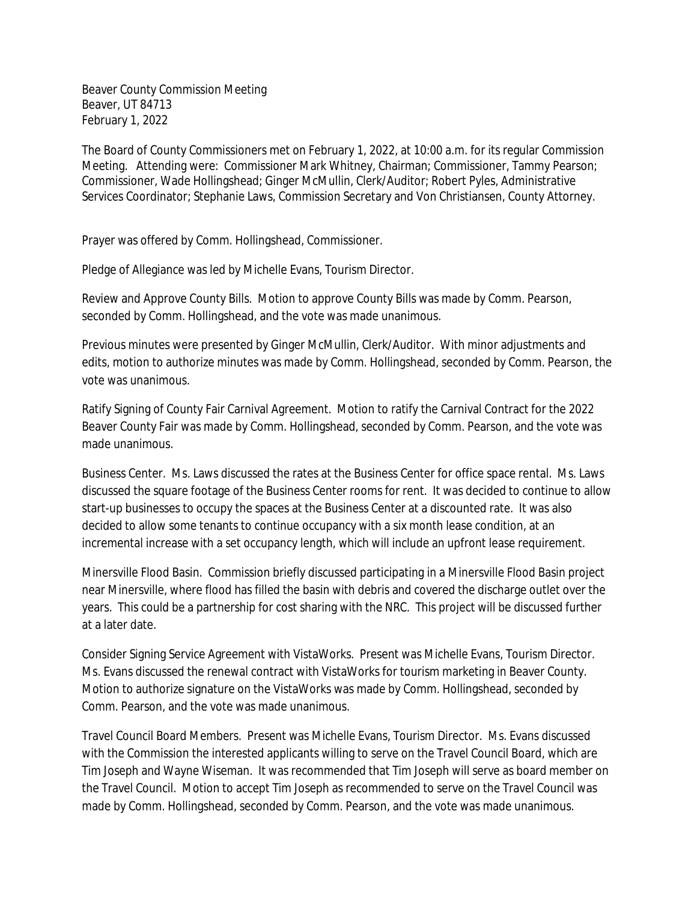Beaver County Commission Meeting Beaver, UT 84713 February 1, 2022

The Board of County Commissioners met on February 1, 2022, at 10:00 a.m. for its regular Commission Meeting. Attending were: Commissioner Mark Whitney, Chairman; Commissioner, Tammy Pearson; Commissioner, Wade Hollingshead; Ginger McMullin, Clerk/Auditor; Robert Pyles, Administrative Services Coordinator; Stephanie Laws, Commission Secretary and Von Christiansen, County Attorney.

Prayer was offered by Comm. Hollingshead, Commissioner.

Pledge of Allegiance was led by Michelle Evans, Tourism Director.

Review and Approve County Bills. Motion to approve County Bills was made by Comm. Pearson, seconded by Comm. Hollingshead, and the vote was made unanimous.

Previous minutes were presented by Ginger McMullin, Clerk/Auditor. With minor adjustments and edits, motion to authorize minutes was made by Comm. Hollingshead, seconded by Comm. Pearson, the vote was unanimous.

Ratify Signing of County Fair Carnival Agreement. Motion to ratify the Carnival Contract for the 2022 Beaver County Fair was made by Comm. Hollingshead, seconded by Comm. Pearson, and the vote was made unanimous.

Business Center. Ms. Laws discussed the rates at the Business Center for office space rental. Ms. Laws discussed the square footage of the Business Center rooms for rent. It was decided to continue to allow start-up businesses to occupy the spaces at the Business Center at a discounted rate. It was also decided to allow some tenants to continue occupancy with a six month lease condition, at an incremental increase with a set occupancy length, which will include an upfront lease requirement.

Minersville Flood Basin. Commission briefly discussed participating in a Minersville Flood Basin project near Minersville, where flood has filled the basin with debris and covered the discharge outlet over the years. This could be a partnership for cost sharing with the NRC. This project will be discussed further at a later date.

Consider Signing Service Agreement with VistaWorks. Present was Michelle Evans, Tourism Director. Ms. Evans discussed the renewal contract with VistaWorks for tourism marketing in Beaver County. Motion to authorize signature on the VistaWorks was made by Comm. Hollingshead, seconded by Comm. Pearson, and the vote was made unanimous.

Travel Council Board Members. Present was Michelle Evans, Tourism Director. Ms. Evans discussed with the Commission the interested applicants willing to serve on the Travel Council Board, which are Tim Joseph and Wayne Wiseman. It was recommended that Tim Joseph will serve as board member on the Travel Council. Motion to accept Tim Joseph as recommended to serve on the Travel Council was made by Comm. Hollingshead, seconded by Comm. Pearson, and the vote was made unanimous.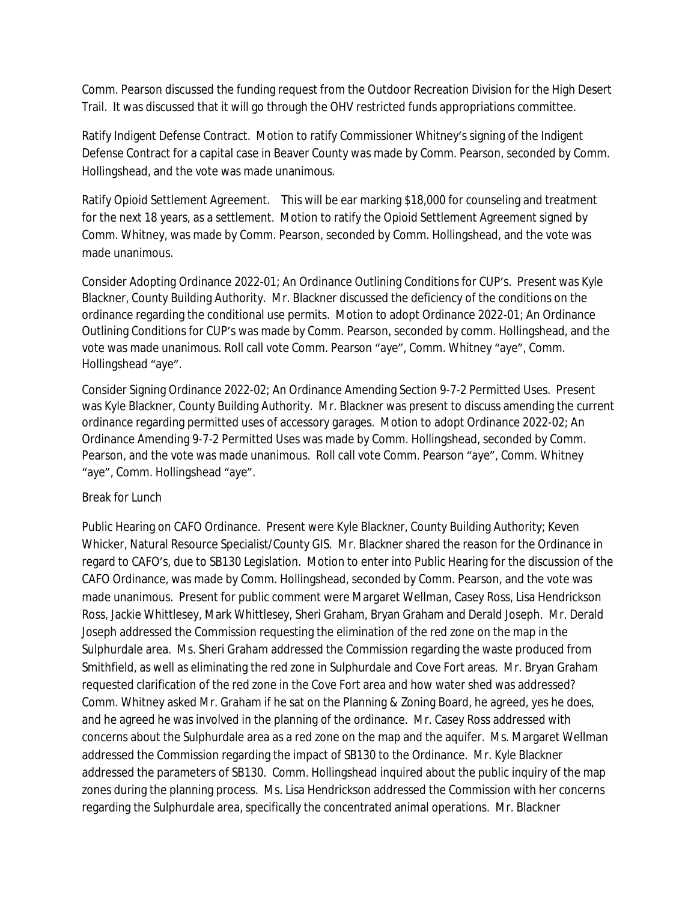Comm. Pearson discussed the funding request from the Outdoor Recreation Division for the High Desert Trail. It was discussed that it will go through the OHV restricted funds appropriations committee.

Ratify Indigent Defense Contract. Motion to ratify Commissioner Whitney's signing of the Indigent Defense Contract for a capital case in Beaver County was made by Comm. Pearson, seconded by Comm. Hollingshead, and the vote was made unanimous.

Ratify Opioid Settlement Agreement. This will be ear marking \$18,000 for counseling and treatment for the next 18 years, as a settlement. Motion to ratify the Opioid Settlement Agreement signed by Comm. Whitney, was made by Comm. Pearson, seconded by Comm. Hollingshead, and the vote was made unanimous.

Consider Adopting Ordinance 2022-01; An Ordinance Outlining Conditions for CUP's. Present was Kyle Blackner, County Building Authority. Mr. Blackner discussed the deficiency of the conditions on the ordinance regarding the conditional use permits. Motion to adopt Ordinance 2022-01; An Ordinance Outlining Conditions for CUP's was made by Comm. Pearson, seconded by comm. Hollingshead, and the vote was made unanimous. Roll call vote Comm. Pearson "aye", Comm. Whitney "aye", Comm. Hollingshead "aye".

Consider Signing Ordinance 2022-02; An Ordinance Amending Section 9-7-2 Permitted Uses. Present was Kyle Blackner, County Building Authority. Mr. Blackner was present to discuss amending the current ordinance regarding permitted uses of accessory garages. Motion to adopt Ordinance 2022-02; An Ordinance Amending 9-7-2 Permitted Uses was made by Comm. Hollingshead, seconded by Comm. Pearson, and the vote was made unanimous. Roll call vote Comm. Pearson "aye", Comm. Whitney "aye", Comm. Hollingshead "aye".

## Break for Lunch

Public Hearing on CAFO Ordinance. Present were Kyle Blackner, County Building Authority; Keven Whicker, Natural Resource Specialist/County GIS. Mr. Blackner shared the reason for the Ordinance in regard to CAFO's, due to SB130 Legislation. Motion to enter into Public Hearing for the discussion of the CAFO Ordinance, was made by Comm. Hollingshead, seconded by Comm. Pearson, and the vote was made unanimous. Present for public comment were Margaret Wellman, Casey Ross, Lisa Hendrickson Ross, Jackie Whittlesey, Mark Whittlesey, Sheri Graham, Bryan Graham and Derald Joseph. Mr. Derald Joseph addressed the Commission requesting the elimination of the red zone on the map in the Sulphurdale area. Ms. Sheri Graham addressed the Commission regarding the waste produced from Smithfield, as well as eliminating the red zone in Sulphurdale and Cove Fort areas. Mr. Bryan Graham requested clarification of the red zone in the Cove Fort area and how water shed was addressed? Comm. Whitney asked Mr. Graham if he sat on the Planning & Zoning Board, he agreed, yes he does, and he agreed he was involved in the planning of the ordinance. Mr. Casey Ross addressed with concerns about the Sulphurdale area as a red zone on the map and the aquifer. Ms. Margaret Wellman addressed the Commission regarding the impact of SB130 to the Ordinance. Mr. Kyle Blackner addressed the parameters of SB130. Comm. Hollingshead inquired about the public inquiry of the map zones during the planning process. Ms. Lisa Hendrickson addressed the Commission with her concerns regarding the Sulphurdale area, specifically the concentrated animal operations. Mr. Blackner